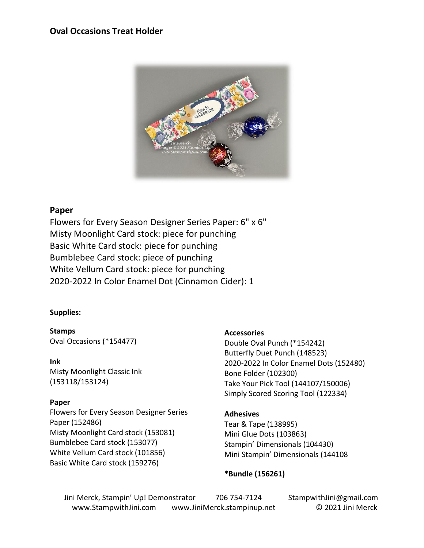## **Oval Occasions Treat Holder**



#### **Paper**

Flowers for Every Season Designer Series Paper: 6" x 6" Misty Moonlight Card stock: piece for punching Basic White Card stock: piece for punching Bumblebee Card stock: piece of punching White Vellum Card stock: piece for punching 2020-2022 In Color Enamel Dot (Cinnamon Cider): 1

#### **Supplies:**

**Stamps** Oval Occasions (\*154477)

**Ink** Misty Moonlight Classic Ink (153118/153124)

#### **Paper**

Flowers for Every Season Designer Series Paper (152486) Misty Moonlight Card stock (153081) Bumblebee Card stock (153077) White Vellum Card stock (101856) Basic White Card stock (159276)

#### **Accessories**

Double Oval Punch (\*154242) Butterfly Duet Punch (148523) 2020-2022 In Color Enamel Dots (152480) Bone Folder (102300) Take Your Pick Tool (144107/150006) Simply Scored Scoring Tool (122334)

## **Adhesives**

Tear & Tape (138995) Mini Glue Dots (103863) Stampin' Dimensionals (104430) Mini Stampin' Dimensionals (144108

## **\*Bundle (156261)**

Jini Merck, Stampin' Up! Demonstrator 706 754-7124 StampwithJini@gmail.com www.StampwithJini.com www.JiniMerck.stampinup.net © 2021 Jini Merck